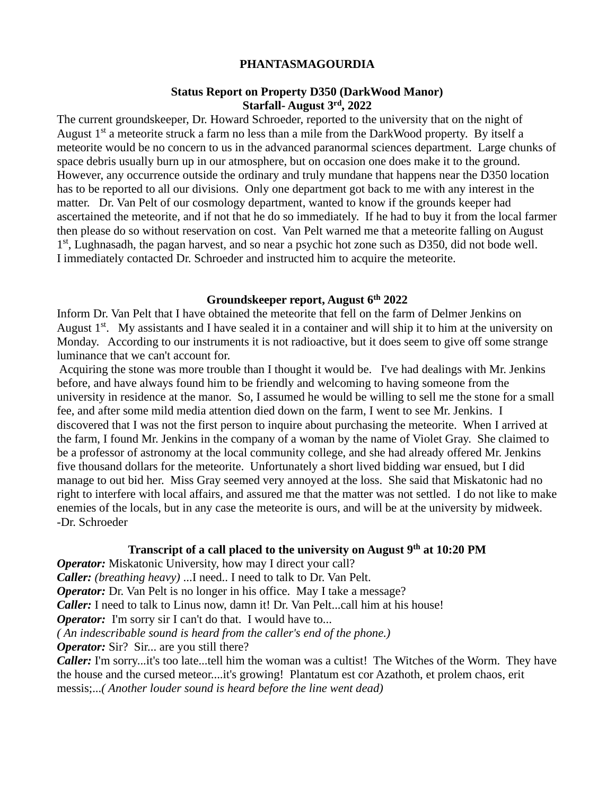## **PHANTASMAGOURDIA**

## **Status Report on Property D350 (DarkWood Manor) Starfall- August 3rd, 2022**

The current groundskeeper, Dr. Howard Schroeder, reported to the university that on the night of August  $1<sup>st</sup>$  a meteorite struck a farm no less than a mile from the DarkWood property. By itself a meteorite would be no concern to us in the advanced paranormal sciences department. Large chunks of space debris usually burn up in our atmosphere, but on occasion one does make it to the ground. However, any occurrence outside the ordinary and truly mundane that happens near the D350 location has to be reported to all our divisions. Only one department got back to me with any interest in the matter. Dr. Van Pelt of our cosmology department, wanted to know if the grounds keeper had ascertained the meteorite, and if not that he do so immediately. If he had to buy it from the local farmer then please do so without reservation on cost. Van Pelt warned me that a meteorite falling on August 1<sup>st</sup>, Lughnasadh, the pagan harvest, and so near a psychic hot zone such as D350, did not bode well. I immediately contacted Dr. Schroeder and instructed him to acquire the meteorite.

#### **Groundskeeper report, August 6th 2022**

Inform Dr. Van Pelt that I have obtained the meteorite that fell on the farm of Delmer Jenkins on August  $1<sup>st</sup>$ . My assistants and I have sealed it in a container and will ship it to him at the university on Monday. According to our instruments it is not radioactive, but it does seem to give off some strange luminance that we can't account for.

Acquiring the stone was more trouble than I thought it would be. I've had dealings with Mr. Jenkins before, and have always found him to be friendly and welcoming to having someone from the university in residence at the manor. So, I assumed he would be willing to sell me the stone for a small fee, and after some mild media attention died down on the farm, I went to see Mr. Jenkins. I discovered that I was not the first person to inquire about purchasing the meteorite. When I arrived at the farm, I found Mr. Jenkins in the company of a woman by the name of Violet Gray. She claimed to be a professor of astronomy at the local community college, and she had already offered Mr. Jenkins five thousand dollars for the meteorite. Unfortunately a short lived bidding war ensued, but I did manage to out bid her. Miss Gray seemed very annoyed at the loss. She said that Miskatonic had no right to interfere with local affairs, and assured me that the matter was not settled. I do not like to make enemies of the locals, but in any case the meteorite is ours, and will be at the university by midweek. -Dr. Schroeder

## **Transcript of a call placed to the university on August 9th at 10:20 PM**

**Operator:** Miskatonic University, how may I direct your call? *Caller: (breathing heavy)* ...I need.. I need to talk to Dr. Van Pelt. *Operator:* Dr. Van Pelt is no longer in his office. May I take a message? *Caller:* I need to talk to Linus now, damn it! Dr. Van Pelt...call him at his house! *Operator:* I'm sorry sir I can't do that. I would have to... *( An indescribable sound is heard from the caller's end of the phone.)* **Operator:** Sir? Sir... are you still there? *Caller:* I'm sorry...it's too late...tell him the woman was a cultist! The Witches of the Worm. They have the house and the cursed meteor....it's growing! Plantatum est cor Azathoth, et prolem chaos, erit

messis;...*( Another louder sound is heard before the line went dead)*